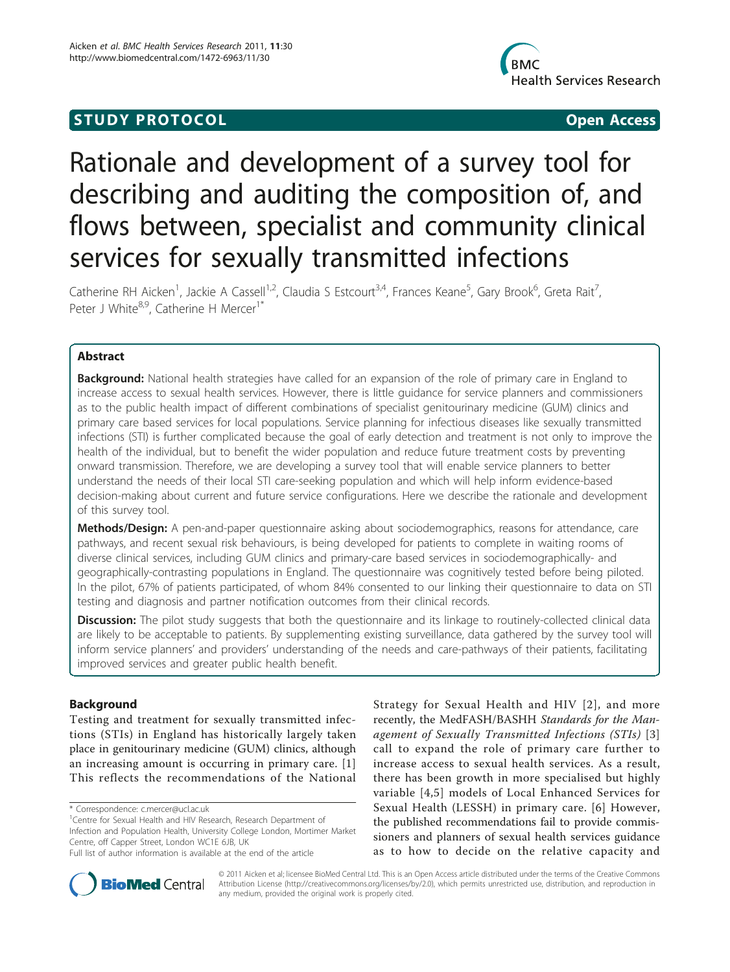## **STUDY PROTOCOL** And the state of the state of the state of the state of the state of the state of the state of the state of the state of the state of the state of the state of the state of the state of the state of the st



# Rationale and development of a survey tool for describing and auditing the composition of, and flows between, specialist and community clinical services for sexually transmitted infections

Catherine RH Aicken<sup>1</sup>, Jackie A Cassell<sup>1,2</sup>, Claudia S Estcourt<sup>3,4</sup>, Frances Keane<sup>5</sup>, Gary Brook<sup>6</sup>, Greta Rait<sup>7</sup> , Peter J White<sup>8,9</sup>, Catherine H Mercer<sup>1\*</sup>

## Abstract

**Background:** National health strategies have called for an expansion of the role of primary care in England to increase access to sexual health services. However, there is little guidance for service planners and commissioners as to the public health impact of different combinations of specialist genitourinary medicine (GUM) clinics and primary care based services for local populations. Service planning for infectious diseases like sexually transmitted infections (STI) is further complicated because the goal of early detection and treatment is not only to improve the health of the individual, but to benefit the wider population and reduce future treatment costs by preventing onward transmission. Therefore, we are developing a survey tool that will enable service planners to better understand the needs of their local STI care-seeking population and which will help inform evidence-based decision-making about current and future service configurations. Here we describe the rationale and development of this survey tool.

Methods/Design: A pen-and-paper questionnaire asking about sociodemographics, reasons for attendance, care pathways, and recent sexual risk behaviours, is being developed for patients to complete in waiting rooms of diverse clinical services, including GUM clinics and primary-care based services in sociodemographically- and geographically-contrasting populations in England. The questionnaire was cognitively tested before being piloted. In the pilot, 67% of patients participated, of whom 84% consented to our linking their questionnaire to data on STI testing and diagnosis and partner notification outcomes from their clinical records.

Discussion: The pilot study suggests that both the questionnaire and its linkage to routinely-collected clinical data are likely to be acceptable to patients. By supplementing existing surveillance, data gathered by the survey tool will inform service planners' and providers' understanding of the needs and care-pathways of their patients, facilitating improved services and greater public health benefit.

## Background

Testing and treatment for sexually transmitted infections (STIs) in England has historically largely taken place in genitourinary medicine (GUM) clinics, although an increasing amount is occurring in primary care. [\[1](#page-6-0)] This reflects the recommendations of the National

\* Correspondence: [c.mercer@ucl.ac.uk](mailto:c.mercer@ucl.ac.uk)

Strategy for Sexual Health and HIV [[2](#page-6-0)], and more recently, the MedFASH/BASHH Standards for the Management of Sexually Transmitted Infections (STIs) [[3](#page-6-0)] call to expand the role of primary care further to increase access to sexual health services. As a result, there has been growth in more specialised but highly variable [[4](#page-6-0),[5](#page-6-0)] models of Local Enhanced Services for Sexual Health (LESSH) in primary care. [[6](#page-6-0)] However, the published recommendations fail to provide commissioners and planners of sexual health services guidance as to how to decide on the relative capacity and



© 2011 Aicken et al; licensee BioMed Central Ltd. This is an Open Access article distributed under the terms of the Creative Commons Attribution License [\(http://creativecommons.org/licenses/by/2.0](http://creativecommons.org/licenses/by/2.0)), which permits unrestricted use, distribution, and reproduction in any medium, provided the original work is properly cited.

<sup>&</sup>lt;sup>1</sup>Centre for Sexual Health and HIV Research, Research Department of Infection and Population Health, University College London, Mortimer Market Centre, off Capper Street, London WC1E 6JB, UK Full list of author information is available at the end of the article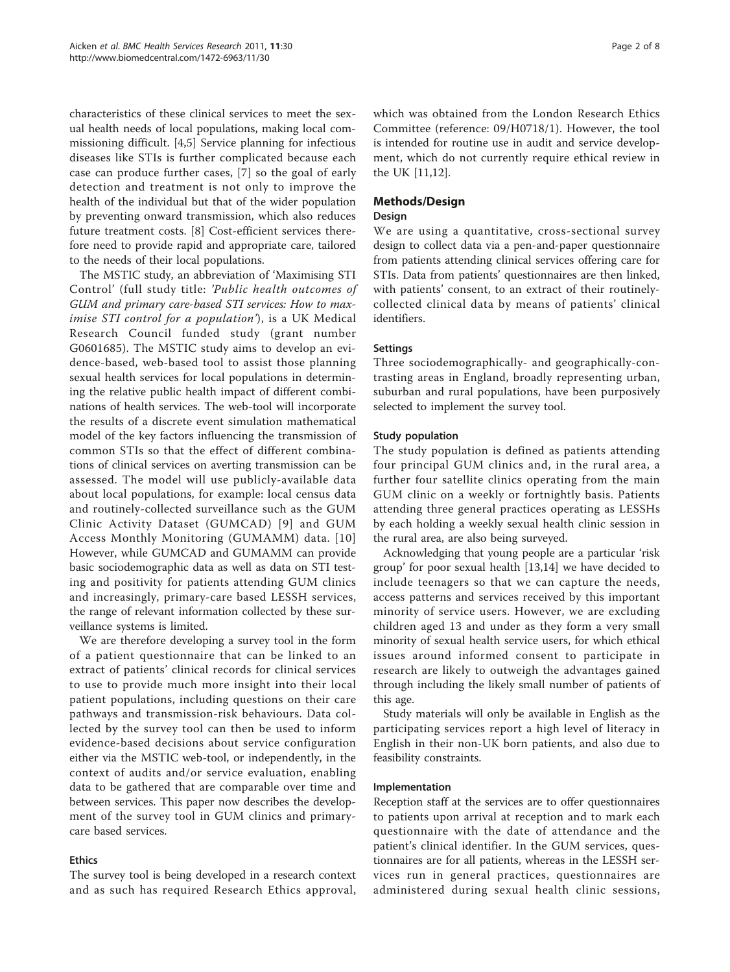characteristics of these clinical services to meet the sexual health needs of local populations, making local commissioning difficult. [[4,5](#page-6-0)] Service planning for infectious diseases like STIs is further complicated because each case can produce further cases, [[7\]](#page-6-0) so the goal of early detection and treatment is not only to improve the health of the individual but that of the wider population by preventing onward transmission, which also reduces future treatment costs. [[8\]](#page-6-0) Cost-efficient services therefore need to provide rapid and appropriate care, tailored to the needs of their local populations.

The MSTIC study, an abbreviation of 'Maximising STI Control' (full study title: 'Public health outcomes of GUM and primary care-based STI services: How to maximise STI control for a population'), is a UK Medical Research Council funded study (grant number G0601685). The MSTIC study aims to develop an evidence-based, web-based tool to assist those planning sexual health services for local populations in determining the relative public health impact of different combinations of health services. The web-tool will incorporate the results of a discrete event simulation mathematical model of the key factors influencing the transmission of common STIs so that the effect of different combinations of clinical services on averting transmission can be assessed. The model will use publicly-available data about local populations, for example: local census data and routinely-collected surveillance such as the GUM Clinic Activity Dataset (GUMCAD) [[9](#page-6-0)] and GUM Access Monthly Monitoring (GUMAMM) data. [[10](#page-6-0)] However, while GUMCAD and GUMAMM can provide basic sociodemographic data as well as data on STI testing and positivity for patients attending GUM clinics and increasingly, primary-care based LESSH services, the range of relevant information collected by these surveillance systems is limited.

We are therefore developing a survey tool in the form of a patient questionnaire that can be linked to an extract of patients' clinical records for clinical services to use to provide much more insight into their local patient populations, including questions on their care pathways and transmission-risk behaviours. Data collected by the survey tool can then be used to inform evidence-based decisions about service configuration either via the MSTIC web-tool, or independently, in the context of audits and/or service evaluation, enabling data to be gathered that are comparable over time and between services. This paper now describes the development of the survey tool in GUM clinics and primarycare based services.

#### **Ethics**

The survey tool is being developed in a research context and as such has required Research Ethics approval, which was obtained from the London Research Ethics Committee (reference: 09/H0718/1). However, the tool is intended for routine use in audit and service development, which do not currently require ethical review in the UK [[11,12](#page-6-0)].

## Methods/Design

## Design

We are using a quantitative, cross-sectional survey design to collect data via a pen-and-paper questionnaire from patients attending clinical services offering care for STIs. Data from patients' questionnaires are then linked, with patients' consent, to an extract of their routinelycollected clinical data by means of patients' clinical identifiers.

## Settings

Three sociodemographically- and geographically-contrasting areas in England, broadly representing urban, suburban and rural populations, have been purposively selected to implement the survey tool.

## Study population

The study population is defined as patients attending four principal GUM clinics and, in the rural area, a further four satellite clinics operating from the main GUM clinic on a weekly or fortnightly basis. Patients attending three general practices operating as LESSHs by each holding a weekly sexual health clinic session in the rural area, are also being surveyed.

Acknowledging that young people are a particular 'risk group' for poor sexual health [\[13,14\]](#page-6-0) we have decided to include teenagers so that we can capture the needs, access patterns and services received by this important minority of service users. However, we are excluding children aged 13 and under as they form a very small minority of sexual health service users, for which ethical issues around informed consent to participate in research are likely to outweigh the advantages gained through including the likely small number of patients of this age.

Study materials will only be available in English as the participating services report a high level of literacy in English in their non-UK born patients, and also due to feasibility constraints.

#### Implementation

Reception staff at the services are to offer questionnaires to patients upon arrival at reception and to mark each questionnaire with the date of attendance and the patient's clinical identifier. In the GUM services, questionnaires are for all patients, whereas in the LESSH services run in general practices, questionnaires are administered during sexual health clinic sessions,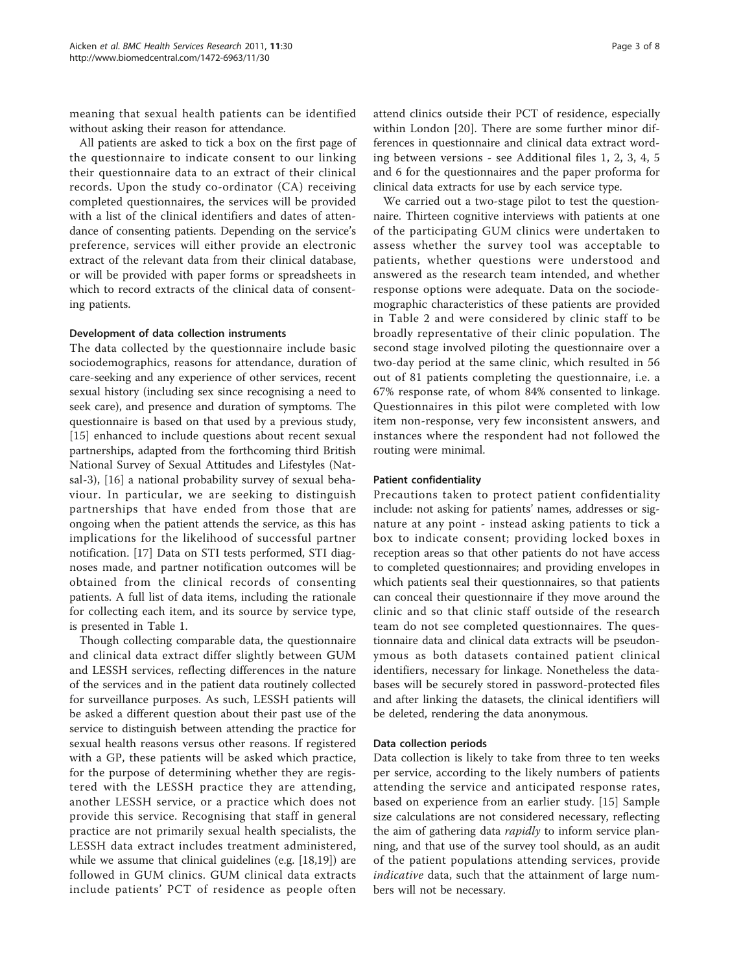meaning that sexual health patients can be identified without asking their reason for attendance.

All patients are asked to tick a box on the first page of the questionnaire to indicate consent to our linking their questionnaire data to an extract of their clinical records. Upon the study co-ordinator (CA) receiving completed questionnaires, the services will be provided with a list of the clinical identifiers and dates of attendance of consenting patients. Depending on the service's preference, services will either provide an electronic extract of the relevant data from their clinical database, or will be provided with paper forms or spreadsheets in which to record extracts of the clinical data of consenting patients.

#### Development of data collection instruments

The data collected by the questionnaire include basic sociodemographics, reasons for attendance, duration of care-seeking and any experience of other services, recent sexual history (including sex since recognising a need to seek care), and presence and duration of symptoms. The questionnaire is based on that used by a previous study, [[15\]](#page-6-0) enhanced to include questions about recent sexual partnerships, adapted from the forthcoming third British National Survey of Sexual Attitudes and Lifestyles (Natsal-3), [\[16](#page-6-0)] a national probability survey of sexual behaviour. In particular, we are seeking to distinguish partnerships that have ended from those that are ongoing when the patient attends the service, as this has implications for the likelihood of successful partner notification. [[17\]](#page-6-0) Data on STI tests performed, STI diagnoses made, and partner notification outcomes will be obtained from the clinical records of consenting patients. A full list of data items, including the rationale for collecting each item, and its source by service type, is presented in Table [1](#page-3-0).

Though collecting comparable data, the questionnaire and clinical data extract differ slightly between GUM and LESSH services, reflecting differences in the nature of the services and in the patient data routinely collected for surveillance purposes. As such, LESSH patients will be asked a different question about their past use of the service to distinguish between attending the practice for sexual health reasons versus other reasons. If registered with a GP, these patients will be asked which practice, for the purpose of determining whether they are registered with the LESSH practice they are attending, another LESSH service, or a practice which does not provide this service. Recognising that staff in general practice are not primarily sexual health specialists, the LESSH data extract includes treatment administered, while we assume that clinical guidelines (e.g. [[18,19\]](#page-6-0)) are followed in GUM clinics. GUM clinical data extracts include patients' PCT of residence as people often attend clinics outside their PCT of residence, especially within London [[20\]](#page-7-0). There are some further minor differences in questionnaire and clinical data extract wording between versions - see Additional files [1](#page-6-0), [2](#page-6-0), [3](#page-6-0), [4, 5](#page-6-0) and [6](#page-6-0) for the questionnaires and the paper proforma for clinical data extracts for use by each service type.

We carried out a two-stage pilot to test the questionnaire. Thirteen cognitive interviews with patients at one of the participating GUM clinics were undertaken to assess whether the survey tool was acceptable to patients, whether questions were understood and answered as the research team intended, and whether response options were adequate. Data on the sociodemographic characteristics of these patients are provided in Table [2](#page-5-0) and were considered by clinic staff to be broadly representative of their clinic population. The second stage involved piloting the questionnaire over a two-day period at the same clinic, which resulted in 56 out of 81 patients completing the questionnaire, i.e. a 67% response rate, of whom 84% consented to linkage. Questionnaires in this pilot were completed with low item non-response, very few inconsistent answers, and instances where the respondent had not followed the routing were minimal.

#### Patient confidentiality

Precautions taken to protect patient confidentiality include: not asking for patients' names, addresses or signature at any point - instead asking patients to tick a box to indicate consent; providing locked boxes in reception areas so that other patients do not have access to completed questionnaires; and providing envelopes in which patients seal their questionnaires, so that patients can conceal their questionnaire if they move around the clinic and so that clinic staff outside of the research team do not see completed questionnaires. The questionnaire data and clinical data extracts will be pseudonymous as both datasets contained patient clinical identifiers, necessary for linkage. Nonetheless the databases will be securely stored in password-protected files and after linking the datasets, the clinical identifiers will be deleted, rendering the data anonymous.

#### Data collection periods

Data collection is likely to take from three to ten weeks per service, according to the likely numbers of patients attending the service and anticipated response rates, based on experience from an earlier study. [[15\]](#page-6-0) Sample size calculations are not considered necessary, reflecting the aim of gathering data *rapidly* to inform service planning, and that use of the survey tool should, as an audit of the patient populations attending services, provide indicative data, such that the attainment of large numbers will not be necessary.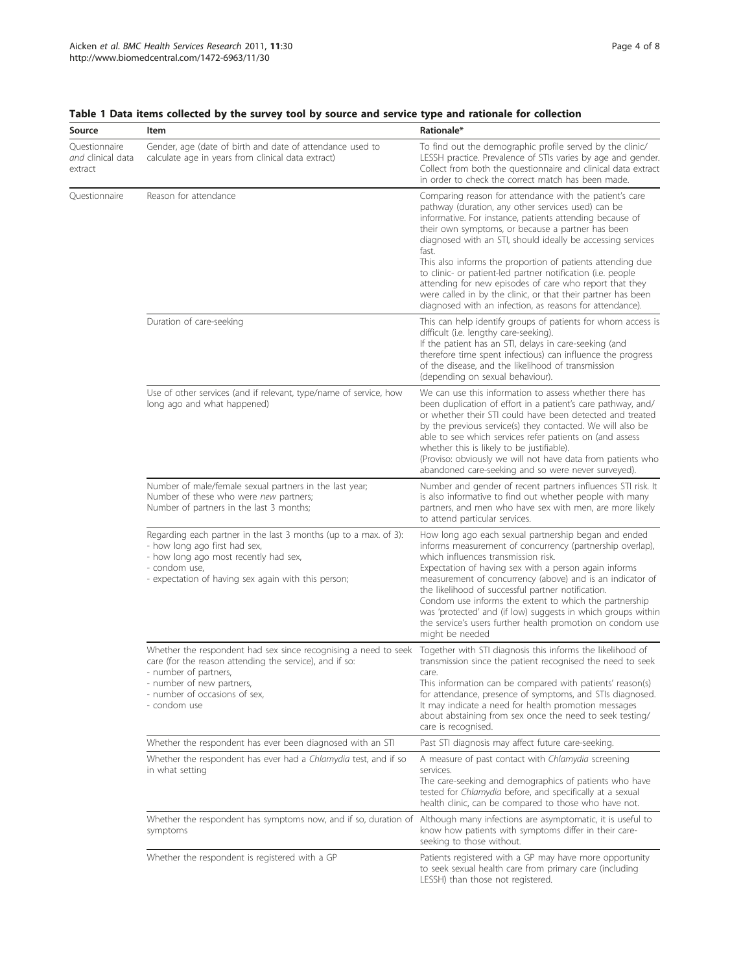| Source                                        | Item                                                                                                                                                                                                                              | Rationale*                                                                                                                                                                                                                                                                                                                                                                                                                                                                                                                                                     |
|-----------------------------------------------|-----------------------------------------------------------------------------------------------------------------------------------------------------------------------------------------------------------------------------------|----------------------------------------------------------------------------------------------------------------------------------------------------------------------------------------------------------------------------------------------------------------------------------------------------------------------------------------------------------------------------------------------------------------------------------------------------------------------------------------------------------------------------------------------------------------|
| Questionnaire<br>and clinical data<br>extract | Gender, age (date of birth and date of attendance used to<br>calculate age in years from clinical data extract)                                                                                                                   | To find out the demographic profile served by the clinic/<br>LESSH practice. Prevalence of STIs varies by age and gender.<br>Collect from both the questionnaire and clinical data extract<br>in order to check the correct match has been made.                                                                                                                                                                                                                                                                                                               |
| Questionnaire                                 | Reason for attendance                                                                                                                                                                                                             | Comparing reason for attendance with the patient's care<br>pathway (duration, any other services used) can be<br>informative. For instance, patients attending because of<br>their own symptoms, or because a partner has been<br>diagnosed with an STI, should ideally be accessing services<br>fast.<br>This also informs the proportion of patients attending due<br>to clinic- or patient-led partner notification (i.e. people<br>attending for new episodes of care who report that they<br>were called in by the clinic, or that their partner has been |
|                                               |                                                                                                                                                                                                                                   | diagnosed with an infection, as reasons for attendance).                                                                                                                                                                                                                                                                                                                                                                                                                                                                                                       |
|                                               | Duration of care-seeking                                                                                                                                                                                                          | This can help identify groups of patients for whom access is<br>difficult (i.e. lengthy care-seeking).<br>If the patient has an STI, delays in care-seeking (and<br>therefore time spent infectious) can influence the progress<br>of the disease, and the likelihood of transmission<br>(depending on sexual behaviour).                                                                                                                                                                                                                                      |
|                                               | Use of other services (and if relevant, type/name of service, how<br>long ago and what happened)                                                                                                                                  | We can use this information to assess whether there has<br>been duplication of effort in a patient's care pathway, and/<br>or whether their STI could have been detected and treated<br>by the previous service(s) they contacted. We will also be<br>able to see which services refer patients on (and assess<br>whether this is likely to be justifiable).<br>(Proviso: obviously we will not have data from patients who<br>abandoned care-seeking and so were never surveyed).                                                                             |
|                                               | Number of male/female sexual partners in the last year;<br>Number of these who were new partners;<br>Number of partners in the last 3 months;                                                                                     | Number and gender of recent partners influences STI risk. It<br>is also informative to find out whether people with many<br>partners, and men who have sex with men, are more likely<br>to attend particular services.                                                                                                                                                                                                                                                                                                                                         |
|                                               | Regarding each partner in the last 3 months (up to a max. of 3):<br>- how long ago first had sex,<br>- how long ago most recently had sex,<br>- condom use,<br>- expectation of having sex again with this person;                | How long ago each sexual partnership began and ended<br>informs measurement of concurrency (partnership overlap),<br>which influences transmission risk.<br>Expectation of having sex with a person again informs<br>measurement of concurrency (above) and is an indicator of<br>the likelihood of successful partner notification.<br>Condom use informs the extent to which the partnership<br>was 'protected' and (if low) suggests in which groups within<br>the service's users further health promotion on condom use<br>might be needed                |
|                                               | Whether the respondent had sex since recognising a need to seek<br>care (for the reason attending the service), and if so:<br>- number of partners,<br>- number of new partners,<br>- number of occasions of sex,<br>- condom use | Together with STI diagnosis this informs the likelihood of<br>transmission since the patient recognised the need to seek<br>care.<br>This information can be compared with patients' reason(s)<br>for attendance, presence of symptoms, and STIs diagnosed.<br>It may indicate a need for health promotion messages<br>about abstaining from sex once the need to seek testing/<br>care is recognised.                                                                                                                                                         |
|                                               | Whether the respondent has ever been diagnosed with an STI                                                                                                                                                                        | Past STI diagnosis may affect future care-seeking.                                                                                                                                                                                                                                                                                                                                                                                                                                                                                                             |
|                                               | Whether the respondent has ever had a Chlamydia test, and if so<br>in what setting                                                                                                                                                | A measure of past contact with Chlamydia screening<br>services.<br>The care-seeking and demographics of patients who have<br>tested for Chlamydia before, and specifically at a sexual<br>health clinic, can be compared to those who have not.                                                                                                                                                                                                                                                                                                                |
|                                               | Whether the respondent has symptoms now, and if so, duration of<br>symptoms                                                                                                                                                       | Although many infections are asymptomatic, it is useful to<br>know how patients with symptoms differ in their care-<br>seeking to those without.                                                                                                                                                                                                                                                                                                                                                                                                               |
|                                               | Whether the respondent is registered with a GP                                                                                                                                                                                    | Patients registered with a GP may have more opportunity<br>to seek sexual health care from primary care (including<br>LESSH) than those not registered.                                                                                                                                                                                                                                                                                                                                                                                                        |

## <span id="page-3-0"></span>Table 1 Data items collected by the survey tool by source and service type and rationale for collection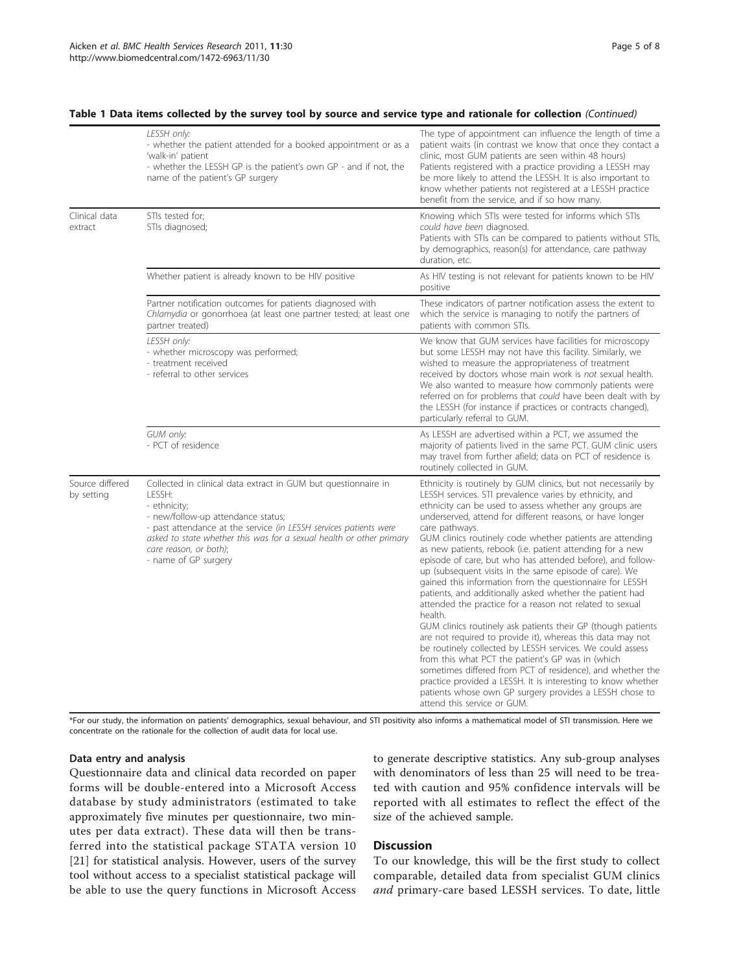|                               | LESSH only:<br>- whether the patient attended for a booked appointment or as a<br>'walk-in' patient<br>- whether the LESSH GP is the patient's own GP - and if not, the<br>name of the patient's GP surgery                                                                                                                   | The type of appointment can influence the length of time a<br>patient waits (in contrast we know that once they contact a<br>clinic, most GUM patients are seen within 48 hours)<br>Patients registered with a practice providing a LESSH may<br>be more likely to attend the LESSH. It is also important to<br>know whether patients not registered at a LESSH practice<br>benefit from the service, and if so how many.                                                                                                                                                                                                                                                                                                                                                                                                                                                                                                                                                                                                                                                                                                                                                                  |  |
|-------------------------------|-------------------------------------------------------------------------------------------------------------------------------------------------------------------------------------------------------------------------------------------------------------------------------------------------------------------------------|--------------------------------------------------------------------------------------------------------------------------------------------------------------------------------------------------------------------------------------------------------------------------------------------------------------------------------------------------------------------------------------------------------------------------------------------------------------------------------------------------------------------------------------------------------------------------------------------------------------------------------------------------------------------------------------------------------------------------------------------------------------------------------------------------------------------------------------------------------------------------------------------------------------------------------------------------------------------------------------------------------------------------------------------------------------------------------------------------------------------------------------------------------------------------------------------|--|
| Clinical data<br>extract      | STIs tested for;<br>STIs diagnosed;                                                                                                                                                                                                                                                                                           | Knowing which STIs were tested for informs which STIs<br>could have been diagnosed.<br>Patients with STIs can be compared to patients without STIs,<br>by demographics, reason(s) for attendance, care pathway<br>duration, etc.                                                                                                                                                                                                                                                                                                                                                                                                                                                                                                                                                                                                                                                                                                                                                                                                                                                                                                                                                           |  |
|                               | Whether patient is already known to be HIV positive                                                                                                                                                                                                                                                                           | As HIV testing is not relevant for patients known to be HIV<br>positive                                                                                                                                                                                                                                                                                                                                                                                                                                                                                                                                                                                                                                                                                                                                                                                                                                                                                                                                                                                                                                                                                                                    |  |
|                               | Partner notification outcomes for patients diagnosed with<br>Chlamydia or gonorrhoea (at least one partner tested; at least one<br>partner treated)                                                                                                                                                                           | These indicators of partner notification assess the extent to<br>which the service is managing to notify the partners of<br>patients with common STIs.                                                                                                                                                                                                                                                                                                                                                                                                                                                                                                                                                                                                                                                                                                                                                                                                                                                                                                                                                                                                                                     |  |
|                               | LESSH only:<br>- whether microscopy was performed;<br>- treatment received<br>- referral to other services                                                                                                                                                                                                                    | We know that GUM services have facilities for microscopy<br>but some LESSH may not have this facility. Similarly, we<br>wished to measure the appropriateness of treatment<br>received by doctors whose main work is not sexual health.<br>We also wanted to measure how commonly patients were<br>referred on for problems that could have been dealt with by<br>the LESSH (for instance if practices or contracts changed),<br>particularly referral to GUM.                                                                                                                                                                                                                                                                                                                                                                                                                                                                                                                                                                                                                                                                                                                             |  |
|                               | GUM only:<br>- PCT of residence                                                                                                                                                                                                                                                                                               | As LESSH are advertised within a PCT, we assumed the<br>majority of patients lived in the same PCT. GUM clinic users<br>may travel from further afield; data on PCT of residence is<br>routinely collected in GUM.                                                                                                                                                                                                                                                                                                                                                                                                                                                                                                                                                                                                                                                                                                                                                                                                                                                                                                                                                                         |  |
| Source differed<br>by setting | Collected in clinical data extract in GUM but questionnaire in<br>LESSH:<br>- ethnicity;<br>- new/follow-up attendance status;<br>- past attendance at the service (in LESSH services patients were<br>asked to state whether this was for a sexual health or other primary<br>care reason, or both);<br>- name of GP surgery | Ethnicity is routinely by GUM clinics, but not necessarily by<br>LESSH services. STI prevalence varies by ethnicity, and<br>ethnicity can be used to assess whether any groups are<br>underserved, attend for different reasons, or have longer<br>care pathways.<br>GUM clinics routinely code whether patients are attending<br>as new patients, rebook (i.e. patient attending for a new<br>episode of care, but who has attended before), and follow-<br>up (subsequent visits in the same episode of care). We<br>gained this information from the questionnaire for LESSH<br>patients, and additionally asked whether the patient had<br>attended the practice for a reason not related to sexual<br>health.<br>GUM clinics routinely ask patients their GP (though patients<br>are not required to provide it), whereas this data may not<br>be routinely collected by LESSH services. We could assess<br>from this what PCT the patient's GP was in (which<br>sometimes differed from PCT of residence), and whether the<br>practice provided a LESSH. It is interesting to know whether<br>patients whose own GP surgery provides a LESSH chose to<br>attend this service or GUM. |  |

Table 1 Data items collected by the survey tool by source and service type and rationale for collection (Continued)

\*For our study, the information on patients' demographics, sexual behaviour, and STI positivity also informs a mathematical model of STI transmission. Here we concentrate on the rationale for the collection of audit data for local use.

#### Data entry and analysis

Questionnaire data and clinical data recorded on paper forms will be double-entered into a Microsoft Access database by study administrators (estimated to take approximately five minutes per questionnaire, two minutes per data extract). These data will then be transferred into the statistical package STATA version 10 [[21\]](#page-7-0) for statistical analysis. However, users of the survey tool without access to a specialist statistical package will be able to use the query functions in Microsoft Access

to generate descriptive statistics. Any sub-group analyses with denominators of less than 25 will need to be treated with caution and 95% confidence intervals will be reported with all estimates to reflect the effect of the size of the achieved sample.

#### **Discussion**

To our knowledge, this will be the first study to collect comparable, detailed data from specialist GUM clinics and primary-care based LESSH services. To date, little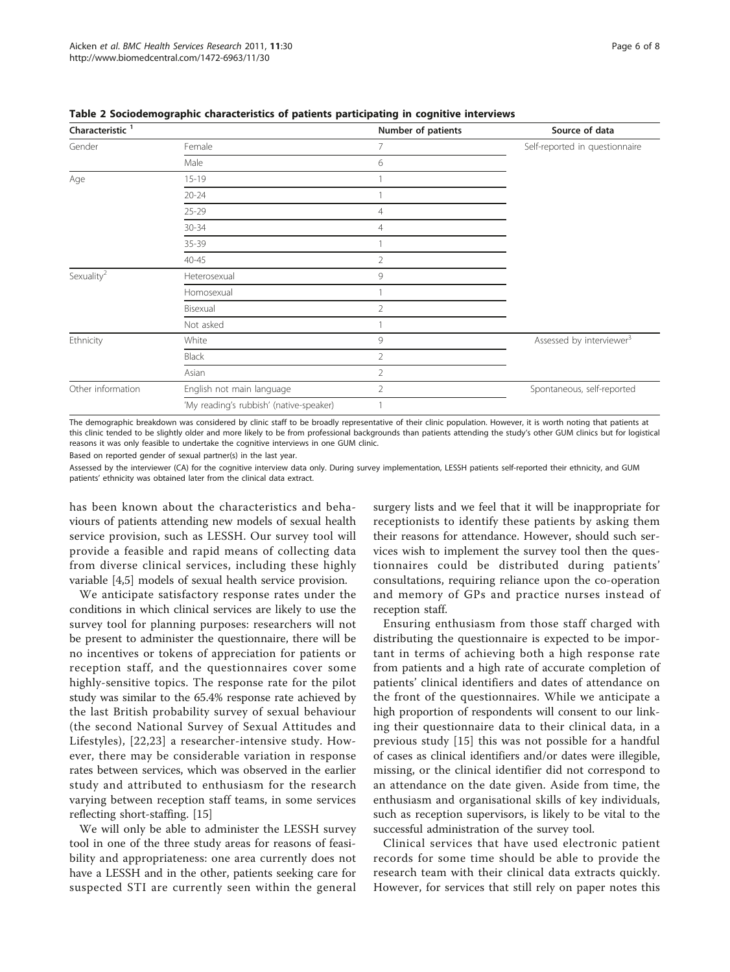| Characteristic <sup>1</sup> |                                         | Number of patients | Source of data<br>Self-reported in questionnaire |
|-----------------------------|-----------------------------------------|--------------------|--------------------------------------------------|
| Gender                      | Female                                  | 7                  |                                                  |
|                             | Male                                    | 6                  |                                                  |
| Age                         | $15 - 19$                               |                    |                                                  |
|                             | $20 - 24$                               |                    |                                                  |
|                             | $25 - 29$                               | 4                  |                                                  |
|                             | 30-34                                   | 4                  |                                                  |
|                             | 35-39                                   |                    |                                                  |
|                             | $40 - 45$                               | $\overline{2}$     |                                                  |
| Sexuality <sup>2</sup>      | Heterosexual                            | 9                  |                                                  |
|                             | Homosexual                              |                    |                                                  |
|                             | Bisexual                                | $\overline{2}$     |                                                  |
|                             | Not asked                               |                    |                                                  |
| Ethnicity                   | White                                   | 9                  | Assessed by interviewer <sup>3</sup>             |
|                             | Black                                   | 2                  |                                                  |
|                             | Asian                                   | 2                  |                                                  |
| Other information           | English not main language               | $\overline{2}$     | Spontaneous, self-reported                       |
|                             | 'My reading's rubbish' (native-speaker) |                    |                                                  |

<span id="page-5-0"></span>Table 2 Sociodemographic characteristics of patients participating in cognitive interviews

The demographic breakdown was considered by clinic staff to be broadly representative of their clinic population. However, it is worth noting that patients at this clinic tended to be slightly older and more likely to be from professional backgrounds than patients attending the study's other GUM clinics but for logistical reasons it was only feasible to undertake the cognitive interviews in one GUM clinic.

Based on reported gender of sexual partner(s) in the last year.

Assessed by the interviewer (CA) for the cognitive interview data only. During survey implementation, LESSH patients self-reported their ethnicity, and GUM patients' ethnicity was obtained later from the clinical data extract.

has been known about the characteristics and behaviours of patients attending new models of sexual health service provision, such as LESSH. Our survey tool will provide a feasible and rapid means of collecting data from diverse clinical services, including these highly variable [[4](#page-6-0),[5](#page-6-0)] models of sexual health service provision.

We anticipate satisfactory response rates under the conditions in which clinical services are likely to use the survey tool for planning purposes: researchers will not be present to administer the questionnaire, there will be no incentives or tokens of appreciation for patients or reception staff, and the questionnaires cover some highly-sensitive topics. The response rate for the pilot study was similar to the 65.4% response rate achieved by the last British probability survey of sexual behaviour (the second National Survey of Sexual Attitudes and Lifestyles), [\[22,23](#page-7-0)] a researcher-intensive study. However, there may be considerable variation in response rates between services, which was observed in the earlier study and attributed to enthusiasm for the research varying between reception staff teams, in some services reflecting short-staffing. [\[15](#page-6-0)]

We will only be able to administer the LESSH survey tool in one of the three study areas for reasons of feasibility and appropriateness: one area currently does not have a LESSH and in the other, patients seeking care for suspected STI are currently seen within the general

surgery lists and we feel that it will be inappropriate for receptionists to identify these patients by asking them their reasons for attendance. However, should such services wish to implement the survey tool then the questionnaires could be distributed during patients' consultations, requiring reliance upon the co-operation and memory of GPs and practice nurses instead of reception staff.

Ensuring enthusiasm from those staff charged with distributing the questionnaire is expected to be important in terms of achieving both a high response rate from patients and a high rate of accurate completion of patients' clinical identifiers and dates of attendance on the front of the questionnaires. While we anticipate a high proportion of respondents will consent to our linking their questionnaire data to their clinical data, in a previous study [\[15\]](#page-6-0) this was not possible for a handful of cases as clinical identifiers and/or dates were illegible, missing, or the clinical identifier did not correspond to an attendance on the date given. Aside from time, the enthusiasm and organisational skills of key individuals, such as reception supervisors, is likely to be vital to the successful administration of the survey tool.

Clinical services that have used electronic patient records for some time should be able to provide the research team with their clinical data extracts quickly. However, for services that still rely on paper notes this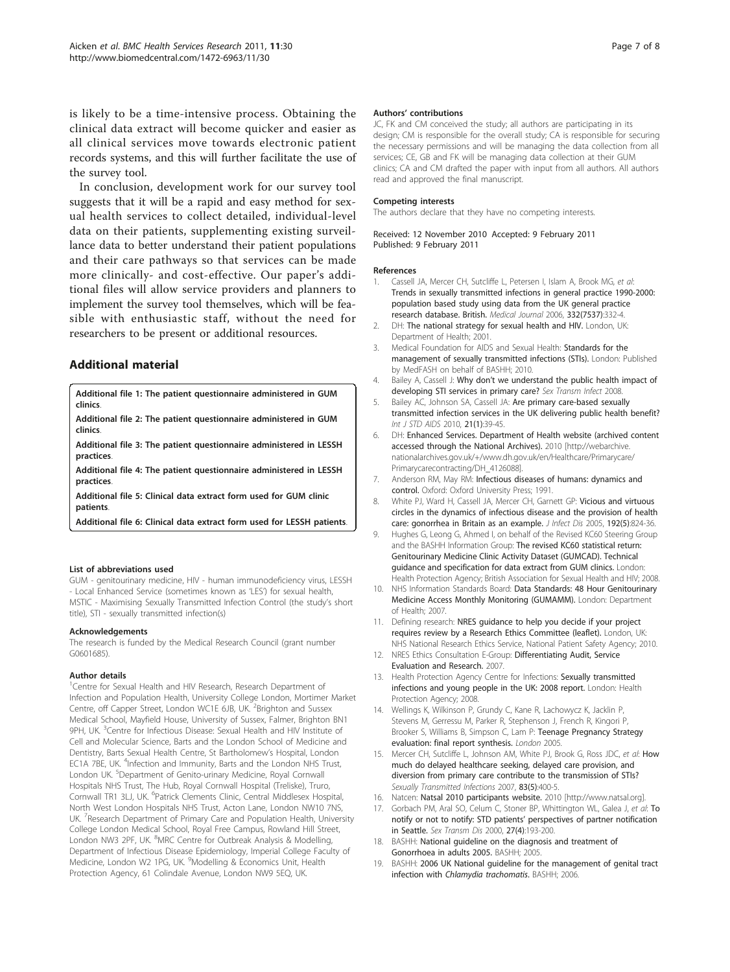<span id="page-6-0"></span>is likely to be a time-intensive process. Obtaining the clinical data extract will become quicker and easier as all clinical services move towards electronic patient records systems, and this will further facilitate the use of the survey tool.

In conclusion, development work for our survey tool suggests that it will be a rapid and easy method for sexual health services to collect detailed, individual-level data on their patients, supplementing existing surveillance data to better understand their patient populations and their care pathways so that services can be made more clinically- and cost-effective. Our paper's additional files will allow service providers and planners to implement the survey tool themselves, which will be feasible with enthusiastic staff, without the need for researchers to be present or additional resources.

## Additional material

[Additional file 1: T](http://www.biomedcentral.com/content/supplementary/1472-6963-11-30-S1.PDF)he patient questionnaire administered in GUM clinics.

[Additional file 2: T](http://www.biomedcentral.com/content/supplementary/1472-6963-11-30-S2.PUB)he patient questionnaire administered in GUM clinics.

[Additional file 3: T](http://www.biomedcentral.com/content/supplementary/1472-6963-11-30-S3.PDF)he patient questionnaire administered in LESSH practices

[Additional file 4: T](http://www.biomedcentral.com/content/supplementary/1472-6963-11-30-S4.PUB)he patient questionnaire administered in LESSH practices

[Additional file 5: C](http://www.biomedcentral.com/content/supplementary/1472-6963-11-30-S5.DOCX)linical data extract form used for GUM clinic patients.

[Additional file 6: C](http://www.biomedcentral.com/content/supplementary/1472-6963-11-30-S6.DOCX)linical data extract form used for LESSH patients.

#### List of abbreviations used

GUM - genitourinary medicine, HIV - human immunodeficiency virus, LESSH - Local Enhanced Service (sometimes known as 'LES') for sexual health, MSTIC - Maximising Sexually Transmitted Infection Control (the study's short title), STI - sexually transmitted infection(s)

#### Acknowledgements

The research is funded by the Medical Research Council (grant number G0601685).

#### Author details

<sup>1</sup>Centre for Sexual Health and HIV Research, Research Department of Infection and Population Health, University College London, Mortimer Market Centre, off Capper Street, London WC1E 6JB, UK.<sup>2</sup> Brighton and Sussex Medical School, Mayfield House, University of Sussex, Falmer, Brighton BN1 9PH, UK. <sup>3</sup>Centre for Infectious Disease: Sexual Health and HIV Institute of Cell and Molecular Science, Barts and the London School of Medicine and Dentistry, Barts Sexual Health Centre, St Bartholomew's Hospital, London EC1A 7BE, UK. <sup>4</sup>Infection and Immunity, Barts and the London NHS Trust, London UK. <sup>5</sup>Department of Genito-urinary Medicine, Royal Cornwall Hospitals NHS Trust, The Hub, Royal Cornwall Hospital (Treliske), Truro, Cornwall TR1 3LJ, UK. <sup>6</sup>Patrick Clements Clinic, Central Middlesex Hospital, North West London Hospitals NHS Trust, Acton Lane, London NW10 7NS, UK. <sup>7</sup> Research Department of Primary Care and Population Health, University College London Medical School, Royal Free Campus, Rowland Hill Street, London NW3 2PF, UK. <sup>8</sup>MRC Centre for Outbreak Analysis & Modelling, Department of Infectious Disease Epidemiology, Imperial College Faculty of Medicine, London W2 1PG, UK. <sup>9</sup>Modelling & Economics Unit, Health Protection Agency, 61 Colindale Avenue, London NW9 5EQ, UK.

#### Authors' contributions

JC, FK and CM conceived the study; all authors are participating in its design; CM is responsible for the overall study; CA is responsible for securing the necessary permissions and will be managing the data collection from all services; CE, GB and FK will be managing data collection at their GUM clinics; CA and CM drafted the paper with input from all authors. All authors read and approved the final manuscript.

#### Competing interests

The authors declare that they have no competing interests.

Received: 12 November 2010 Accepted: 9 February 2011 Published: 9 February 2011

#### References

- Cassell JA, Mercer CH, Sutcliffe L, Petersen I, Islam A, Brook MG, et al: Trends in sexually transmitted infections in general practice 1990-2000: population based study using data from the UK general practice research database. British. Medical Journal 2006, 332(7537):332-4.
- 2. DH: The national strategy for sexual health and HIV. London, UK: Department of Health; 2001.
- 3. Medical Foundation for AIDS and Sexual Health: Standards for the management of sexually transmitted infections (STIs). London: Published by MedFASH on behalf of BASHH; 2010.
- 4. Bailey A, Cassell J: Why don'[t we understand the public health impact of](http://www.ncbi.nlm.nih.gov/pubmed/19060035?dopt=Abstract) [developing STI services in primary care?](http://www.ncbi.nlm.nih.gov/pubmed/19060035?dopt=Abstract) Sex Transm Infect 2008.
- 5. Bailey AC, Johnson SA, Cassell JA: [Are primary care-based sexually](http://www.ncbi.nlm.nih.gov/pubmed/20029064?dopt=Abstract) [transmitted infection services in the UK delivering public health benefit?](http://www.ncbi.nlm.nih.gov/pubmed/20029064?dopt=Abstract) Int J STD AIDS 2010, 21(1):39-45.
- 6. DH: Enhanced Services. Department of Health website (archived content accessed through the National Archives). 2010 [[http://webarchive.](http://webarchive.nationalarchives.gov.uk/+/www.dh.gov.uk/en/Healthcare/Primarycare/Primarycarecontracting/DH_4126088) [nationalarchives.gov.uk/+/www.dh.gov.uk/en/Healthcare/Primarycare/](http://webarchive.nationalarchives.gov.uk/+/www.dh.gov.uk/en/Healthcare/Primarycare/Primarycarecontracting/DH_4126088) [Primarycarecontracting/DH\\_4126088\]](http://webarchive.nationalarchives.gov.uk/+/www.dh.gov.uk/en/Healthcare/Primarycare/Primarycarecontracting/DH_4126088).
- 7. Anderson RM, May RM: Infectious diseases of humans: dynamics and control. Oxford: Oxford University Press; 1991.
- 8. White PJ, Ward H, Cassell JA, Mercer CH, Garnett GP: [Vicious and virtuous](http://www.ncbi.nlm.nih.gov/pubmed/16088832?dopt=Abstract) [circles in the dynamics of infectious disease and the provision of health](http://www.ncbi.nlm.nih.gov/pubmed/16088832?dopt=Abstract) [care: gonorrhea in Britain as an example.](http://www.ncbi.nlm.nih.gov/pubmed/16088832?dopt=Abstract) J Infect Dis 2005, 192(5):824-36.
- 9. Hughes G, Leong G, Ahmed I, on behalf of the Revised KC60 Steering Group and the BASHH Information Group: The revised KC60 statistical return: Genitourinary Medicine Clinic Activity Dataset (GUMCAD). Technical guidance and specification for data extract from GUM clinics. London: Health Protection Agency; British Association for Sexual Health and HIV; 2008.
- 10. NHS Information Standards Board: Data Standards: 48 Hour Genitourinary Medicine Access Monthly Monitoring (GUMAMM). London: Department of Health; 2007.
- 11. Defining research: NRES guidance to help you decide if your project requires review by a Research Ethics Committee (leaflet). London, UK: NHS National Research Ethics Service, National Patient Safety Agency; 2010.
- 12. NRES Ethics Consultation E-Group: Differentiating Audit, Service Evaluation and Research. 2007.
- 13. Health Protection Agency Centre for Infections: Sexually transmitted infections and young people in the UK: 2008 report. London: Health Protection Agency; 2008.
- 14. Wellings K, Wilkinson P, Grundy C, Kane R, Lachowycz K, Jacklin P, Stevens M, Gerressu M, Parker R, Stephenson J, French R, Kingori P, Brooker S, Williams B, Simpson C, Lam P: Teenage Pregnancy Strategy evaluation: final report synthesis. London 2005.
- 15. Mercer CH, Sutcliffe L, Johnson AM, White PJ, Brook G, Ross JDC, et al: [How](http://www.ncbi.nlm.nih.gov/pubmed/17475683?dopt=Abstract) [much do delayed healthcare seeking, delayed care provision, and](http://www.ncbi.nlm.nih.gov/pubmed/17475683?dopt=Abstract) [diversion from primary care contribute to the transmission of STIs?](http://www.ncbi.nlm.nih.gov/pubmed/17475683?dopt=Abstract) Sexually Transmitted Infections 2007, 83(5):400-5.
- 16. Natcen: Natsal 2010 participants website. 2010 [\[http://www.natsal.org](http://www.natsal.org)].
- 17. Gorbach PM, Aral SO, Celum C, Stoner BP, Whittington WL, Galea J, et al: [To](http://www.ncbi.nlm.nih.gov/pubmed/10782740?dopt=Abstract) [notify or not to notify: STD patients](http://www.ncbi.nlm.nih.gov/pubmed/10782740?dopt=Abstract)' perspectives of partner notification [in Seattle.](http://www.ncbi.nlm.nih.gov/pubmed/10782740?dopt=Abstract) Sex Transm Dis 2000, 27(4):193-200.
- 18. BASHH: National guideline on the diagnosis and treatment of Gonorrhoea in adults 2005. BASHH; 2005.
- 19. BASHH: 2006 UK National guideline for the management of genital tract infection with Chlamydia trachomatis. BASHH; 2006.